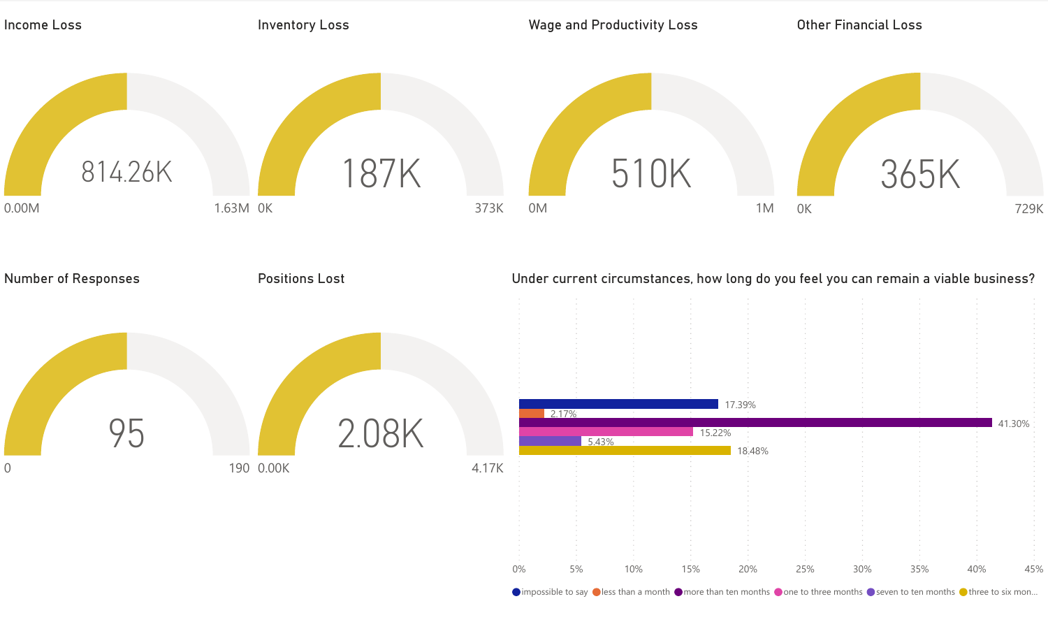

 $\bullet$  impossible to say  $\bullet$  less than a month  $\bullet$  more than ten months  $\bullet$  one to three months  $\bullet$  seven to ten months  $\bullet$  three to six mon...